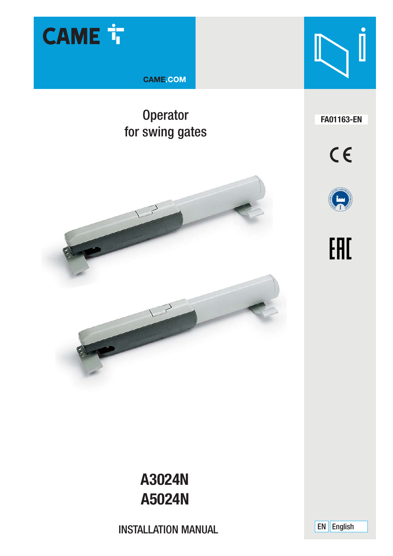

**CAME COM** 

### Operator **FA01163-EN** for swing gates











## **A3024N A5024N**

INSTALLATION MANUAL

EN English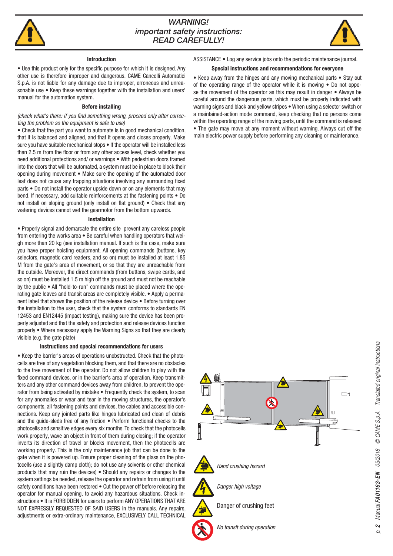

#### *WARNING! important safety instructions: READ CAREFULLY!*



#### **Introduction**

• Use this product only for the specific purpose for which it is designed. Any other use is therefore improper and dangerous. CAME Cancelli Automatici S.p.A. is not liable for any damage due to improper, erroneous and unreasonable use • Keep these warnings together with the installation and users' manual for the automation system.

#### **Before installing**

#### *(check what's there: if you find something wrong, proceed only after correcting the problem so the equipment is safe to use)*

• Check that the part you want to automate is in good mechanical condition, that it is balanced and aligned, and that it opens and closes properly. Make sure you have suitable mechanical stops  $\bullet$  If the operator will be installed less than 2.5 m from the floor or from any other access level, check whether you need additional protections and/ or warnings • With pedestrian doors framed into the doors that will be automated, a system must be in place to block their opening during movement • Make sure the opening of the automated door leaf does not cause any trapping situations involving any surrounding fixed parts • Do not install the operator upside down or on any elements that may bend. If necessary, add suitable reinforcements at the fastening points • Do not install on sloping ground (only install on flat ground)  $\bullet$  Check that any watering devices cannot wet the gearmotor from the bottom upwards.

#### **Installation**

• Properly signal and demarcate the entire site prevent any careless people from entering the works area • Be careful when handling operators that weigh more than 20 kg (see installation manual. If such is the case, make sure you have proper hoisting equipment. All opening commands (buttons, key selectors, magnetic card readers, and so on) must be installed at least 1.85 M from the gate's area of movement, or so that they are unreachable from the outside. Moreover, the direct commands (from buttons, swipe cards, and so on) must be installed 1.5 m high off the ground and must not be reachable by the public • All "hold-to-run" commands must be placed where the operating gate leaves and transit areas are completely visible. • Apply a permanent label that shows the position of the release device • Before turning over the installation to the user, check that the system conforms to standards EN 12453 and EN12445 (impact testing), making sure the device has been properly adjusted and that the safety and protection and release devices function properly • Where necessary apply the Warning Signs so that they are clearly visible (e.g. the gate plate)

#### **Instructions and special recommendations for users**

• Keep the barrier's areas of operations unobstructed. Check that the photocells are free of any vegetation blocking them, and that there are no obstacles to the free movement of the operator. Do not allow children to play with the fixed command devices, or in the barrier's area of operation. Keep transmitters and any other command devices away from children, to prevent the operator from being activated by mistake • Frequently check the system, to scan for any anomalies or wear and tear in the moving structures, the operator's components, all fastening points and devices, the cables and accessible connections. Keep any jointed parts like hinges lubricated and clean of debris and the quide-sleds free of any friction • Perform functional checks to the photocells and sensitive edges every six months. To check that the photocells work properly, wave an object in front of them during closing; if the operator inverts its direction of travel or blocks movement, then the photocells are working properly. This is the only maintenance job that can be done to the gate when it is powered up. Ensure proper cleaning of the glass on the photocells (use a slightly damp cloth); do not use any solvents or other chemical products that may ruin the devices) • Should any repairs or changes to the system settings be needed, release the operator and refrain from using it until safety conditions have been restored • Cut the power off before releasing the operator for manual opening, to avoid any hazardous situations. Check instructions • It is FORBIDDEN for users to perform ANY OPERATIONS THAT ARE NOT EXPRESSLY REQUESTED OF SAID USERS in the manuals. Any repairs, adjustments or extra-ordinary maintenance, EXCLUSIVELY CALL TECHNICAL

ASSISTANCE • Log any service jobs onto the periodic maintenance journal.

#### **Special instructions and recommendations for everyone**

• Keep away from the hinges and any moving mechanical parts • Stay out of the operating range of the operator while it is moving • Do not oppose the movement of the operator as this may result in danger • Always be careful around the dangerous parts, which must be properly indicated with warning signs and black and yellow stripes • When using a selector switch or a maintained-action mode command, keep checking that no persons come within the operating range of the moving parts, until the command is released • The gate may move at any moment without warning. Always cut off the main electric power supply before performing any cleaning or maintenance.

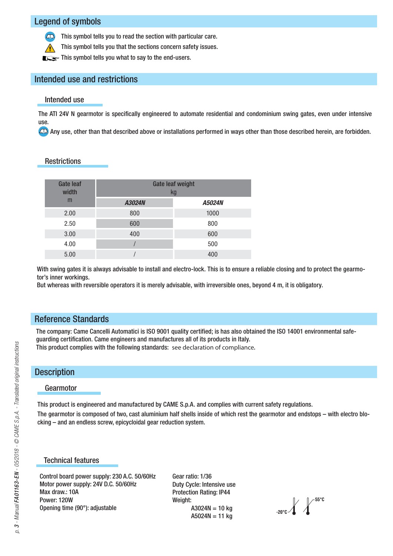#### Legend of symbols

This symbol tells you to read the section with particular care.

This symbol tells you that the sections concern safety issues.

This symbol tells you what to say to the end-users.

#### Intended use and restrictions

#### Intended use

The ATI 24V N gearmotor is specifically engineered to automate residential and condominium swing gates, even under intensive use.

Any use, other than that described above or installations performed in ways other than those described herein, are forbidden.

#### **Restrictions**

| <b>Gate leaf</b><br>width | <b>Gate leaf weight</b><br>kg |        |
|---------------------------|-------------------------------|--------|
| m                         | A3024N                        | A5024N |
| 2.00                      | 800                           | 1000   |
| 2.50                      | 600                           | 800    |
| 3.00                      | 400                           | 600    |
| 4.00                      |                               | 500    |
| 5.00                      |                               | 400    |

With swing gates it is always advisable to install and electro-lock. This is to ensure a reliable closing and to protect the gearmotor's inner workings.

But whereas with reversible operators it is merely advisable, with irreversible ones, beyond 4 m, it is obligatory.

#### Reference Standards

The company: Came Cancelli Automatici is ISO 9001 quality certified; is has also obtained the ISO 14001 environmental safeguarding certification. Came engineers and manufactures all of its products in Italy. This product complies with the following standards: see declaration of compliance.

#### **Description**

#### Gearmotor

This product is engineered and manufactured by CAME S.p.A. and complies with current safety regulations.

The gearmotor is composed of two, cast aluminium half shells inside of which rest the gearmotor and endstops – with electro blocking – and an endless screw, epicycloidal gear reduction system.

#### Technical features

Control board power supply: 230 A.C. 50/60Hz Motor power supply: 24V D.C. 50/60Hz Max draw · 10A Power: 120W Opening time (90°): adjustable

Gear ratio: 1/36 Duty Cycle: Intensive use Protection Rating: IP44 Weight:  $A3024N = 10$  kg  $A5024N = 11$  kg

**# #**

# 3 - Manual FA01163-EN - 05/2018 - © CAME S.p.A. - Translated original instructions *p. 3 - Manual FA01163-EN - 05/2018 - © CAME S.p.A. - Translated original instructions*  $\mathcal{L}$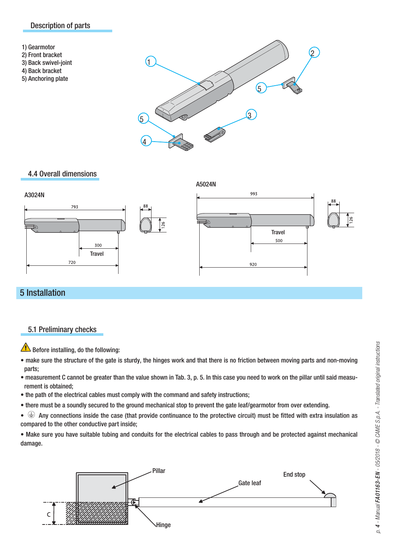#### Description of parts



5) Anchoring plate



#### 4.4 Overall dimensions



#### 5 Installation

#### 5.1 Preliminary checks

Before installing, do the following:

- make sure the structure of the gate is sturdy, the hinges work and that there is no friction between moving parts and non-moving parts;
- measurement C cannot be greater than the value shown in Tab. 3, p. 5. In this case you need to work on the pillar until said measurement is obtained;
- the path of the electrical cables must comply with the command and safety instructions;
- there must be a soundly secured to the ground mechanical stop to prevent the gate leaf/gearmotor from over extending.

 $\cdot \oplus$  Any connections inside the case (that provide continuance to the protective circuit) must be fitted with extra insulation as compared to the other conductive part inside;

• Make sure you have suitable tubing and conduits for the electrical cables to pass through and be protected against mechanical damage.

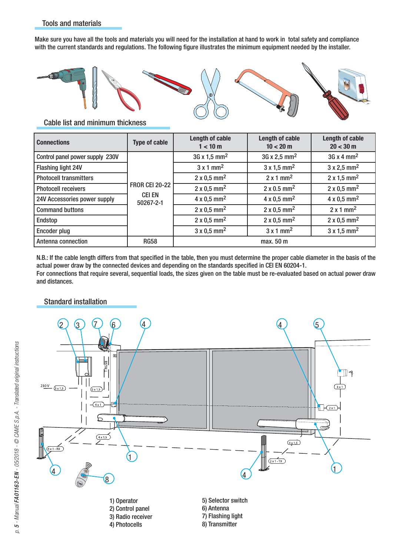Make sure you have all the tools and materials you will need for the installation at hand to work in total safety and compliance with the current standards and regulations. The following figure illustrates the minimum equipment needed by the installer.



Cable list and minimum thickness

| <b>Connections</b>              | <b>Type of cable</b>                                | Length of cable<br>1 < 10 m     | Length of cable<br>10 < 20 m    | Length of cable<br>$20 < 30 \text{ m}$ |
|---------------------------------|-----------------------------------------------------|---------------------------------|---------------------------------|----------------------------------------|
| Control panel power supply 230V | <b>FROR CEI 20-22</b><br><b>CEI EN</b><br>50267-2-1 | $3G \times 1.5$ mm <sup>2</sup> | $36 \times 2.5$ mm <sup>2</sup> | $3G \times 4$ mm <sup>2</sup>          |
| Flashing light 24V              |                                                     | $3 \times 1$ mm <sup>2</sup>    | $3 \times 1.5$ mm <sup>2</sup>  | $3 \times 2.5$ mm <sup>2</sup>         |
| <b>Photocell transmitters</b>   |                                                     | $2 \times 0.5$ mm <sup>2</sup>  | $2 \times 1$ mm <sup>2</sup>    | $2 \times 1.5$ mm <sup>2</sup>         |
| <b>Photocell receivers</b>      |                                                     | $2 \times 0.5$ mm <sup>2</sup>  | $2 \times 0.5$ mm <sup>2</sup>  | $2 \times 0.5$ mm <sup>2</sup>         |
| 24V Accessories power supply    |                                                     | $4 \times 0.5$ mm <sup>2</sup>  | $4 \times 0.5$ mm <sup>2</sup>  | $4 \times 0.5$ mm <sup>2</sup>         |
| <b>Command buttons</b>          |                                                     | $2 \times 0.5$ mm <sup>2</sup>  | $2 \times 0.5$ mm <sup>2</sup>  | $2 \times 1$ mm <sup>2</sup>           |
| Endstop                         |                                                     | $2 \times 0.5$ mm <sup>2</sup>  | $2 \times 0.5$ mm <sup>2</sup>  | $2 \times 0.5$ mm <sup>2</sup>         |
| Encoder plug                    |                                                     | $3 \times 0.5$ mm <sup>2</sup>  | $3 \times 1$ mm <sup>2</sup>    | $3 \times 1.5$ mm <sup>2</sup>         |
| Antenna connection              | <b>RG58</b>                                         | max. 50 m                       |                                 |                                        |

N.B.: If the cable length differs from that specified in the table, then you must determine the proper cable diameter in the basis of the actual power draw by the connected devices and depending on the standards specified in CEI EN 60204-1. For connections that require several, sequential loads, the sizes given on the table must be re-evaluated based on actual power draw and distances.

#### Standard installation

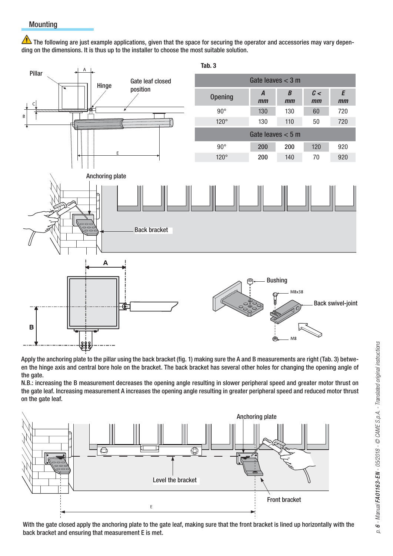The following are just example applications, given that the space for securing the operator and accessories may vary depending on the dimensions. It is thus up to the installer to choose the most suitable solution.



Apply the anchoring plate to the pillar using the back bracket (fig. 1) making sure the A and B measurements are right (Tab. 3) between the hinge axis and central bore hole on the bracket. The back bracket has several other holes for changing the opening angle of the gate.

N.B.: increasing the B measurement decreases the opening angle resulting in slower peripheral speed and greater motor thrust on the gate leaf. Increasing measurement A increases the opening angle resulting in greater peripheral speed and reduced motor thrust on the gate leaf.



With the gate closed apply the anchoring plate to the gate leaf, making sure that the front bracket is lined up horizontally with the back bracket and ensuring that measurement E is met.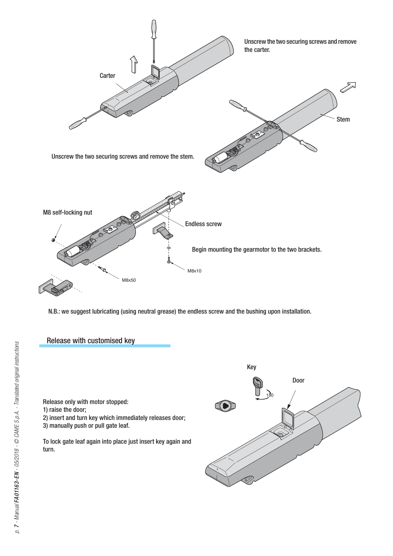

N.B.: we suggest lubricating (using neutral grease) the endless screw and the bushing upon installation.



Release only with motor stopped:

- 1) raise the door;
- 2) insert and turn key which immediately releases door;
- 3) manually push or pull gate leaf.

To lock gate leaf again into place just insert key again and turn.

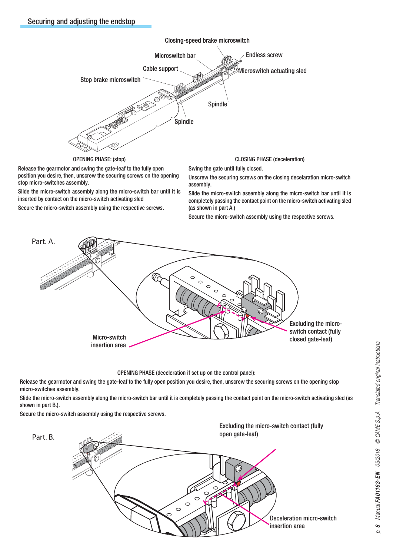

OPENING PHASE: (stop)

Release the gearmotor and swing the gate-leaf to the fully open position you desire, then, unscrew the securing screws on the opening stop micro-switches assembly.

Slide the micro-switch assembly along the micro-switch bar until it is inserted by contact on the micro-switch activating sled

Secure the micro-switch assembly using the respective screws.

CLOSING PHASE (deceleration)

Swing the gate until fully closed.

Unscrew the securing screws on the closing decelaration micro-switch assembly.

Slide the micro-switch assembly along the micro-switch bar until it is completely passing the contact point on the micro-switch activating sled (as shown in part A.)

Secure the micro-switch assembly using the respective screws.



OPENING PHASE (deceleration if set up on the control panel):

Release the gearmotor and swing the gate-leaf to the fully open position you desire, then, unscrew the securing screws on the opening stop micro-switches assembly.

Slide the micro-switch assembly along the micro-switch bar until it is completely passing the contact point on the micro-switch activating sled (as shown in part B.).

Secure the micro-switch assembly using the respective screws.

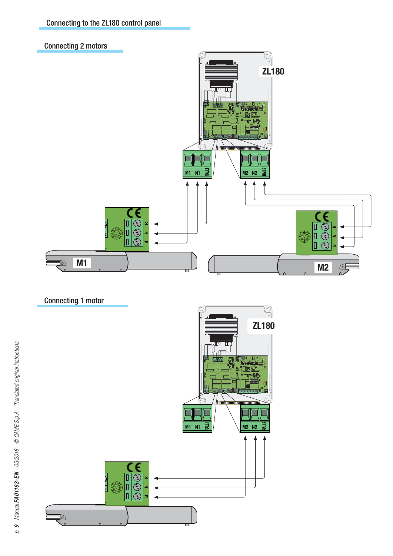





Connecting 1 motor

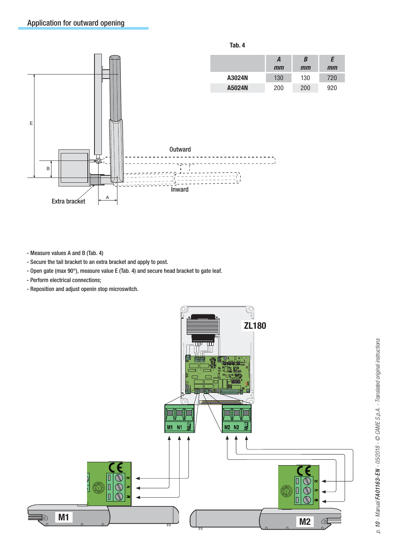

- Measure values A and B (Tab. 4)
- Secure the tail bracket to an extra bracket and apply to post.
- Open gate (max 90°), measure value E (Tab. 4) and secure head bracket to gate leaf.
- Perform electrical connections;
- Reposition and adjust openin stop microswitch.

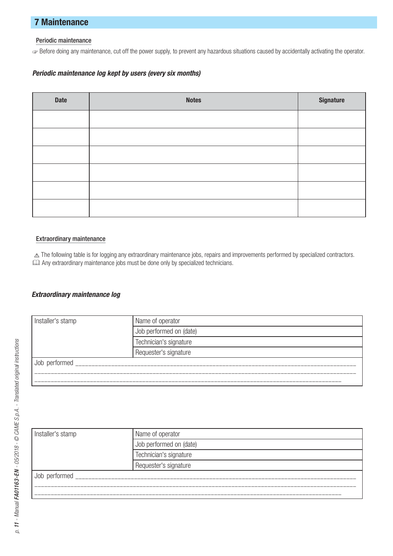#### **7 Maintenance**

#### Periodic maintenance

☞ Before doing any maintenance, cut off the power supply, to prevent any hazardous situations caused by accidentally activating the operator.

#### Periodic maintenance log kept by users (every six months)

| Date | <b>Notes</b> | Signature |
|------|--------------|-----------|
|      |              |           |
|      |              |           |
|      |              |           |
|      |              |           |
|      |              |           |
|      |              |           |

#### Extraordinary maintenance

 $\triangle$  The following table is for logging any extraordinary maintenance jobs, repairs and improvements performed by specialized contractors. Any extraordinary maintenance jobs must be done only by specialized technicians.

#### Extraordinary maintenance log

| Installer's stamp | Name of operator        |  |
|-------------------|-------------------------|--|
|                   | Job performed on (date) |  |
|                   | Technician's signature  |  |
|                   | Requester's signature   |  |
| Job performed     |                         |  |
|                   |                         |  |
|                   |                         |  |

| Installer's stamp | Name of operator        |  |
|-------------------|-------------------------|--|
|                   | Job performed on (date) |  |
|                   | Technician's signature  |  |
|                   | Requester's signature   |  |
| Job performed     |                         |  |
|                   |                         |  |
|                   |                         |  |